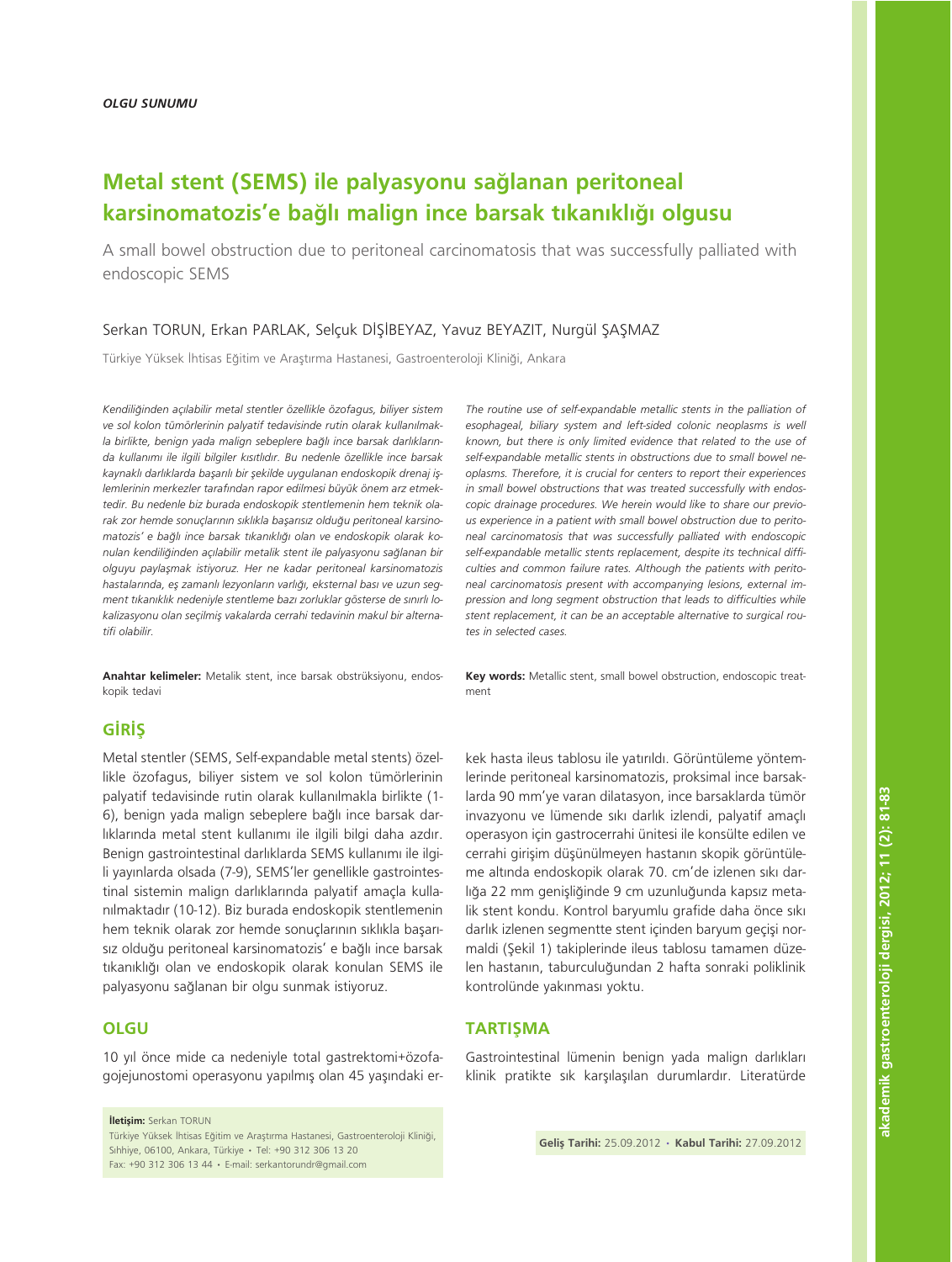# Metal stent (SEMS) ile palyasyonu sağlanan peritoneal karsinomatozis'e bağlı malign ince barsak tıkanıklığı olgusu

A small bowel obstruction due to peritoneal carcinomatosis that was successfully palliated with endoscopic SEMS

## Serkan TORUN, Erkan PARLAK, Selçuk DİŞİBEYAZ, Yavuz BEYAZIT, Nurgül ŞAŞMAZ

Türkiye Yüksek İhtisas Eğitim ve Araştırma Hastanesi, Gastroenteroloji Kliniği, Ankara

*Kendili¤inden aç›labilir metal stentler özellikle özofagus, biliyer sistem* ve sol kolon tümörlerinin palyatif tedavisinde rutin olarak kullanılmakla birlikte, benign yada malign sebeplere bağlı ince barsak darlıkların*da kullan›m› ile ilgili bilgiler k›s›tl›d›r. Bu nedenle özellikle ince barsak* kaynaklı darlıklarda başarılı bir şekilde uygulanan endoskopik drenaj işlemlerinin merkezler tarafından rapor edilmesi büyük önem arz etmek*tedir. Bu nedenle biz burada endoskopik stentlemenin hem teknik ola*rak zor hemde sonuçlarının sıklıkla başarısız olduğu peritoneal karsinomatozis' e bağlı ince barsak tıkanıklığı olan ve endoskopik olarak konulan kendiliğinden açılabilir metalik stent ile palyasyonu sağlanan bir *olguyu paylaflmak istiyoruz. Her ne kadar peritoneal karsinomatozis* hastalarında, eş zamanlı lezyonların varlığı, eksternal bası ve uzun segment tıkanıklık nedeniyle stentleme bazı zorluklar gösterse de sınırlı lokalizasyonu olan seçilmiş vakalarda cerrahi tedavinin makul bir alterna*tifi olabilir.*

Anahtar kelimeler: Metalik stent, ince barsak obstrüksiyonu, endoskopik tedavi

# **GIRIS**

Metal stentler (SEMS, Self-expandable metal stents) özellikle özofagus, biliyer sistem ve sol kolon tümörlerinin palyatif tedavisinde rutin olarak kullanılmakla birlikte (1-6), benign yada malign sebeplere bağlı ince barsak darlıklarında metal stent kullanımı ile ilgili bilgi daha azdır. Benign gastrointestinal darlıklarda SEMS kullanımı ile ilgili yayınlarda olsada (7-9), SEMS'ler genellikle gastrointestinal sistemin malign darlıklarında palyatif amaçla kullanılmaktadır (10-12). Biz burada endoskopik stentlemenin hem teknik olarak zor hemde sonuçlarının sıklıkla başarısız olduğu peritoneal karsinomatozis' e bağlı ince barsak tıkanıklığı olan ve endoskopik olarak konulan SEMS ile palyasyonu sağlanan bir olgu sunmak istiyoruz.

# **OLGU**

10 yıl önce mide ca nedeniyle total gastrektomi+özofagojejunostomi operasyonu yapılmış olan 45 yaşındaki er-

**iletisim:** Serkan TORUN Türkiye Yüksek İhtisas Eğitim ve Araştırma Hastanesi, Gastroenteroloji Kliniği, Sihhiye, 06100, Ankara, Türkiye • Tel: +90 312 306 13 20 Fax: +90 312 306 13 44 • E-mail: serkantorundr@gmail.com

*The routine use of self-expandable metallic stents in the palliation of esophageal, biliary system and left-sided colonic neoplasms is well known, but there is only limited evidence that related to the use of self-expandable metallic stents in obstructions due to small bowel neoplasms. Therefore, it is crucial for centers to report their experiences in small bowel obstructions that was treated successfully with endoscopic drainage procedures. We herein would like to share our previous experience in a patient with small bowel obstruction due to peritoneal carcinomatosis that was successfully palliated with endoscopic self-expandable metallic stents replacement, despite its technical difficulties and common failure rates. Although the patients with peritoneal carcinomatosis present with accompanying lesions, external impression and long segment obstruction that leads to difficulties while stent replacement, it can be an acceptable alternative to surgical routes in selected cases.*

Key words: Metallic stent, small bowel obstruction, endoscopic treatment

kek hasta ileus tablosu ile yatırıldı. Görüntüleme yöntemlerinde peritoneal karsinomatozis, proksimal ince barsaklarda 90 mm'ye varan dilatasyon, ince barsaklarda tümör invazyonu ve lümende sıkı darlık izlendi, palyatif amaçlı operasyon için gastrocerrahi ünitesi ile konsülte edilen ve cerrahi girişim düşünülmeyen hastanın skopik görüntüleme altında endoskopik olarak 70. cm'de izlenen sıkı darlığa 22 mm genişliğinde 9 cm uzunluğunda kapsız metalik stent kondu. Kontrol baryumlu grafide daha önce sıkı darlık izlenen segmentte stent içinden baryum geçişi normaldi (Şekil 1) takiplerinde ileus tablosu tamamen düzelen hastanın, taburculuğundan 2 hafta sonraki poliklinik kontrolünde yakınması yoktu.

## **TARTISMA**

Gastrointestinal lümenin benign yada malign darlıkları klinik pratikte sık karşılaşılan durumlardır. Literatürde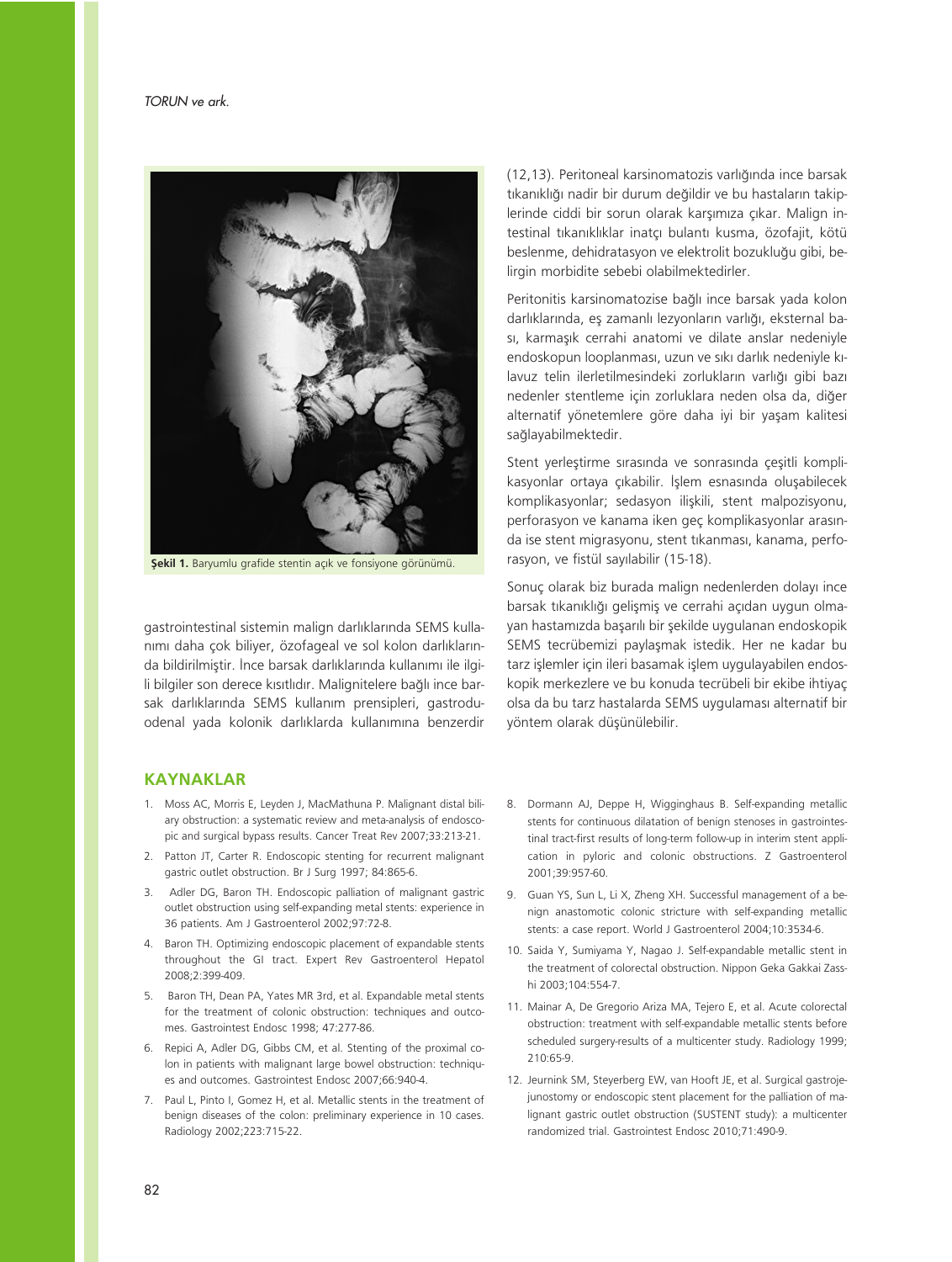

Sekil 1. Baryumlu grafide stentin açık ve fonsiyone görünümü.

gastrointestinal sistemin malign darlıklarında SEMS kullanımı daha çok biliyer, özofageal ve sol kolon darlıklarında bildirilmiştir. İnce barsak darlıklarında kullanımı ile ilgili bilgiler son derece kısıtlıdır. Malignitelere bağlı ince barsak darlıklarında SEMS kullanım prensipleri, gastroduodenal yada kolonik darlıklarda kullanımına benzerdir (12,13). Peritoneal karsinomatozis varlığında ince barsak tıkanıklığı nadir bir durum değildir ve bu hastaların takiplerinde ciddi bir sorun olarak karşımıza çıkar. Malign intestinal tıkanıklıklar inatçı bulantı kusma, özofajit, kötü beslenme, dehidratasyon ve elektrolit bozukluğu gibi, belirgin morbidite sebebi olabilmektedirler.

Peritonitis karsinomatozise bağlı ince barsak yada kolon darlıklarında, es zamanlı lezyonların varlığı, eksternal bası, karmaşık cerrahi anatomi ve dilate anslar nedeniyle endoskopun looplanması, uzun ve sıkı darlık nedeniyle kılavuz telin ilerletilmesindeki zorlukların varlığı gibi bazı nedenler stentleme için zorluklara neden olsa da, diğer alternatif yönetemlere göre daha iyi bir yaşam kalitesi sağlayabilmektedir.

Stent yerleştirme sırasında ve sonrasında çeşitli komplikasyonlar ortaya çıkabilir. İşlem esnasında oluşabilecek komplikasyonlar; sedasyon ilişkili, stent malpozisyonu, perforasyon ve kanama iken geç komplikasyonlar arasında ise stent migrasyonu, stent tikanması, kanama, perforasyon, ve fistül sayılabilir (15-18).

Sonuç olarak biz burada malign nedenlerden dolayı ince barsak tıkanıklığı gelişmiş ve cerrahi açıdan uygun olmayan hastamızda başarılı bir şekilde uygulanan endoskopik SEMS tecrübemizi paylaşmak istedik. Her ne kadar bu tarz işlemler için ileri basamak işlem uygulayabilen endoskopik merkezlere ve bu konuda tecrübeli bir ekibe ihtiyaç olsa da bu tarz hastalarda SEMS uygulaması alternatif bir yöntem olarak düşünülebilir.

#### KAYNAKLAR

- 1. Moss AC, Morris E, Leyden J, MacMathuna P. Malignant distal biliary obstruction: a systematic review and meta-analysis of endoscopic and surgical bypass results. Cancer Treat Rev 2007;33:213-21.
- 2. Patton JT, Carter R. Endoscopic stenting for recurrent malignant gastric outlet obstruction. Br J Surg 1997; 84:865-6.
- 3. Adler DG, Baron TH. Endoscopic palliation of malignant gastric outlet obstruction using self-expanding metal stents: experience in 36 patients. Am J Gastroenterol 2002;97:72-8.
- 4. Baron TH. Optimizing endoscopic placement of expandable stents throughout the GI tract. Expert Rev Gastroenterol Hepatol 2008;2:399-409.
- 5. Baron TH, Dean PA, Yates MR 3rd, et al. Expandable metal stents for the treatment of colonic obstruction: techniques and outcomes. Gastrointest Endosc 1998; 47:277-86.
- 6. Repici A, Adler DG, Gibbs CM, et al. Stenting of the proximal colon in patients with malignant large bowel obstruction: techniques and outcomes. Gastrointest Endosc 2007;66:940-4.
- 7. Paul L, Pinto I, Gomez H, et al. Metallic stents in the treatment of benign diseases of the colon: preliminary experience in 10 cases. Radiology 2002;223:715-22.
- 8. Dormann AJ, Deppe H, Wigginghaus B. Self-expanding metallic stents for continuous dilatation of benign stenoses in gastrointestinal tract-first results of long-term follow-up in interim stent application in pyloric and colonic obstructions. Z Gastroenterol 2001;39:957-60.
- 9. Guan YS, Sun L, Li X, Zheng XH. Successful management of a benign anastomotic colonic stricture with self-expanding metallic stents: a case report. World J Gastroenterol 2004;10:3534-6.
- 10. Saida Y, Sumiyama Y, Nagao J. Self-expandable metallic stent in the treatment of colorectal obstruction. Nippon Geka Gakkai Zasshi 2003;104:554-7.
- 11. Mainar A, De Gregorio Ariza MA, Tejero E, et al. Acute colorectal obstruction: treatment with self-expandable metallic stents before scheduled surgery-results of a multicenter study. Radiology 1999; 210:65-9.
- 12. Jeurnink SM, Steyerberg EW, van Hooft JE, et al. Surgical gastrojejunostomy or endoscopic stent placement for the palliation of malignant gastric outlet obstruction (SUSTENT study): a multicenter randomized trial. Gastrointest Endosc 2010;71:490-9.